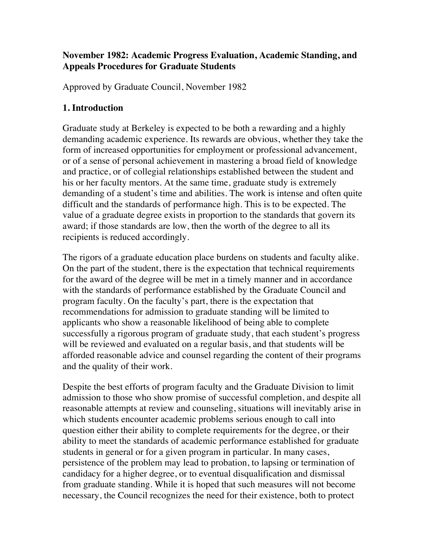### **November 1982: Academic Progress Evaluation, Academic Standing, and Appeals Procedures for Graduate Students**

Approved by Graduate Council, November 1982

# **1. Introduction**

Graduate study at Berkeley is expected to be both a rewarding and a highly demanding academic experience. Its rewards are obvious, whether they take the form of increased opportunities for employment or professional advancement, or of a sense of personal achievement in mastering a broad field of knowledge and practice, or of collegial relationships established between the student and his or her faculty mentors. At the same time, graduate study is extremely demanding of a student's time and abilities. The work is intense and often quite difficult and the standards of performance high. This is to be expected. The value of a graduate degree exists in proportion to the standards that govern its award; if those standards are low, then the worth of the degree to all its recipients is reduced accordingly.

The rigors of a graduate education place burdens on students and faculty alike. On the part of the student, there is the expectation that technical requirements for the award of the degree will be met in a timely manner and in accordance with the standards of performance established by the Graduate Council and program faculty. On the faculty's part, there is the expectation that recommendations for admission to graduate standing will be limited to applicants who show a reasonable likelihood of being able to complete successfully a rigorous program of graduate study, that each student's progress will be reviewed and evaluated on a regular basis, and that students will be afforded reasonable advice and counsel regarding the content of their programs and the quality of their work.

Despite the best efforts of program faculty and the Graduate Division to limit admission to those who show promise of successful completion, and despite all reasonable attempts at review and counseling, situations will inevitably arise in which students encounter academic problems serious enough to call into question either their ability to complete requirements for the degree, or their ability to meet the standards of academic performance established for graduate students in general or for a given program in particular. In many cases, persistence of the problem may lead to probation, to lapsing or termination of candidacy for a higher degree, or to eventual disqualification and dismissal from graduate standing. While it is hoped that such measures will not become necessary, the Council recognizes the need for their existence, both to protect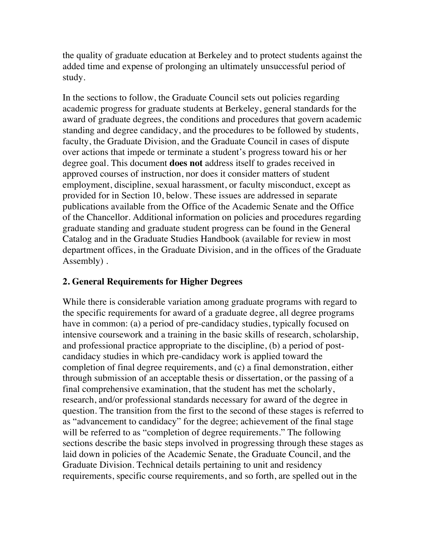the quality of graduate education at Berkeley and to protect students against the added time and expense of prolonging an ultimately unsuccessful period of study.

In the sections to follow, the Graduate Council sets out policies regarding academic progress for graduate students at Berkeley, general standards for the award of graduate degrees, the conditions and procedures that govern academic standing and degree candidacy, and the procedures to be followed by students, faculty, the Graduate Division, and the Graduate Council in cases of dispute over actions that impede or terminate a student's progress toward his or her degree goal. This document **does not** address itself to grades received in approved courses of instruction, nor does it consider matters of student employment, discipline, sexual harassment, or faculty misconduct, except as provided for in Section 10, below. These issues are addressed in separate publications available from the Office of the Academic Senate and the Office of the Chancellor. Additional information on policies and procedures regarding graduate standing and graduate student progress can be found in the General Catalog and in the Graduate Studies Handbook (available for review in most department offices, in the Graduate Division, and in the offices of the Graduate Assembly) .

### **2. General Requirements for Higher Degrees**

While there is considerable variation among graduate programs with regard to the specific requirements for award of a graduate degree, all degree programs have in common: (a) a period of pre-candidacy studies, typically focused on intensive coursework and a training in the basic skills of research, scholarship, and professional practice appropriate to the discipline, (b) a period of postcandidacy studies in which pre-candidacy work is applied toward the completion of final degree requirements, and (c) a final demonstration, either through submission of an acceptable thesis or dissertation, or the passing of a final comprehensive examination, that the student has met the scholarly, research, and/or professional standards necessary for award of the degree in question. The transition from the first to the second of these stages is referred to as "advancement to candidacy" for the degree; achievement of the final stage will be referred to as "completion of degree requirements." The following sections describe the basic steps involved in progressing through these stages as laid down in policies of the Academic Senate, the Graduate Council, and the Graduate Division. Technical details pertaining to unit and residency requirements, specific course requirements, and so forth, are spelled out in the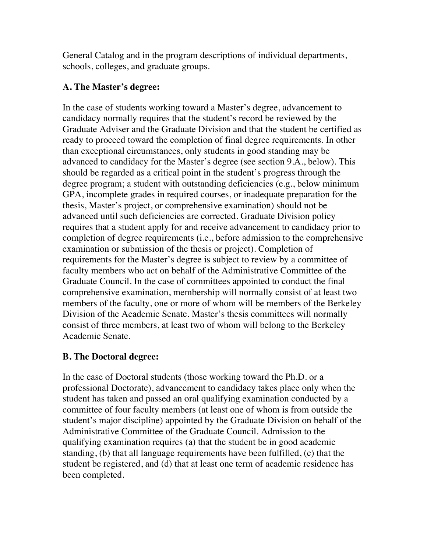General Catalog and in the program descriptions of individual departments, schools, colleges, and graduate groups.

### **A. The Master's degree:**

In the case of students working toward a Master's degree, advancement to candidacy normally requires that the student's record be reviewed by the Graduate Adviser and the Graduate Division and that the student be certified as ready to proceed toward the completion of final degree requirements. In other than exceptional circumstances, only students in good standing may be advanced to candidacy for the Master's degree (see section 9.A., below). This should be regarded as a critical point in the student's progress through the degree program; a student with outstanding deficiencies (e.g., below minimum GPA, incomplete grades in required courses, or inadequate preparation for the thesis, Master's project, or comprehensive examination) should not be advanced until such deficiencies are corrected. Graduate Division policy requires that a student apply for and receive advancement to candidacy prior to completion of degree requirements (i.e., before admission to the comprehensive examination or submission of the thesis or project). Completion of requirements for the Master's degree is subject to review by a committee of faculty members who act on behalf of the Administrative Committee of the Graduate Council. In the case of committees appointed to conduct the final comprehensive examination, membership will normally consist of at least two members of the faculty, one or more of whom will be members of the Berkeley Division of the Academic Senate. Master's thesis committees will normally consist of three members, at least two of whom will belong to the Berkeley Academic Senate.

### **B. The Doctoral degree:**

In the case of Doctoral students (those working toward the Ph.D. or a professional Doctorate), advancement to candidacy takes place only when the student has taken and passed an oral qualifying examination conducted by a committee of four faculty members (at least one of whom is from outside the student's major discipline) appointed by the Graduate Division on behalf of the Administrative Committee of the Graduate Council. Admission to the qualifying examination requires (a) that the student be in good academic standing, (b) that all language requirements have been fulfilled, (c) that the student be registered, and (d) that at least one term of academic residence has been completed.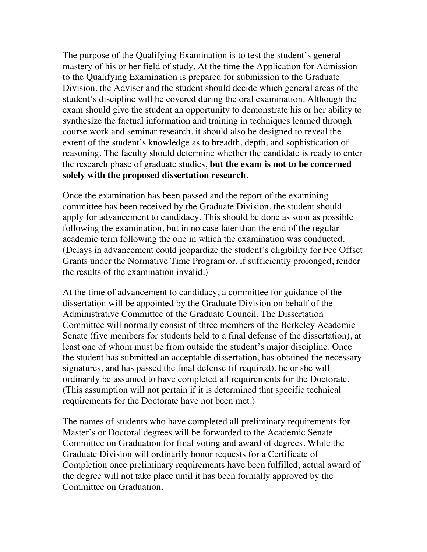The purpose of the Qualifying Examination is to test the student's general mastery of his or her field of study. At the time the Application for Admission to the Qualifying Examination is prepared for submission to the Graduate Division, the Adviser and the student should decide which general areas of the student's discipline will be covered during the oral examination. Although the exam should give the student an opportunity to demonstrate his or her ability to synthesize the factual information and training in techniques learned through course work and seminar research, it should also be designed to reveal the extent of the student's knowledge as to breadth, depth, and sophistication of reasoning. The faculty should determine whether the candidate is ready to enter the research phase of graduate studies, **but the exam is not to be concerned solely with the proposed dissertation research.**

Once the examination has been passed and the report of the examining committee has been received by the Graduate Division, the student should apply for advancement to candidacy. This should be done as soon as possible following the examination, but in no case later than the end of the regular academic term following the one in which the examination was conducted. (Delays in advancement could jeopardize the student's eligibility for Fee Offset Grants under the Normative Time Program or, if sufficiently prolonged, render the results of the examination invalid.)

At the time of advancement to candidacy, a committee for guidance of the dissertation will be appointed by the Graduate Division on behalf of the Administrative Committee of the Graduate Council. The Dissertation Committee will normally consist of three members of the Berkeley Academic Senate (five members for students held to a final defense of the dissertation), at least one of whom must be from outside the student's major discipline. Once the student has submitted an acceptable dissertation, has obtained the necessary signatures, and has passed the final defense (if required), he or she will ordinarily be assumed to have completed all requirements for the Doctorate. (This assumption will not pertain if it is determined that specific technical requirements for the Doctorate have not been met.)

The names of students who have completed all preliminary requirements for Master's or Doctoral degrees will be forwarded to the Academic Senate Committee on Graduation for final voting and award of degrees. While the Graduate Division will ordinarily honor requests for a Certificate of Completion once preliminary requirements have been fulfilled, actual award of the degree will not take place until it has been formally approved by the Committee on Graduation.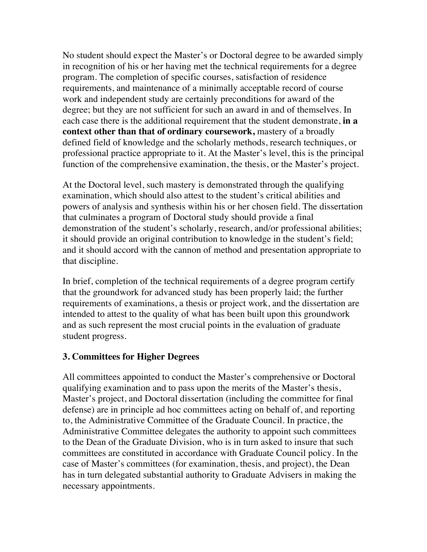No student should expect the Master's or Doctoral degree to be awarded simply in recognition of his or her having met the technical requirements for a degree program. The completion of specific courses, satisfaction of residence requirements, and maintenance of a minimally acceptable record of course work and independent study are certainly preconditions for award of the degree; but they are not sufficient for such an award in and of themselves. In each case there is the additional requirement that the student demonstrate, **in a context other than that of ordinary coursework,** mastery of a broadly defined field of knowledge and the scholarly methods, research techniques, or professional practice appropriate to it. At the Master's level, this is the principal function of the comprehensive examination, the thesis, or the Master's project.

At the Doctoral level, such mastery is demonstrated through the qualifying examination, which should also attest to the student's critical abilities and powers of analysis and synthesis within his or her chosen field. The dissertation that culminates a program of Doctoral study should provide a final demonstration of the student's scholarly, research, and/or professional abilities; it should provide an original contribution to knowledge in the student's field; and it should accord with the cannon of method and presentation appropriate to that discipline.

In brief, completion of the technical requirements of a degree program certify that the groundwork for advanced study has been properly laid; the further requirements of examinations, a thesis or project work, and the dissertation are intended to attest to the quality of what has been built upon this groundwork and as such represent the most crucial points in the evaluation of graduate student progress.

### **3. Committees for Higher Degrees**

All committees appointed to conduct the Master's comprehensive or Doctoral qualifying examination and to pass upon the merits of the Master's thesis, Master's project, and Doctoral dissertation (including the committee for final defense) are in principle ad hoc committees acting on behalf of, and reporting to, the Administrative Committee of the Graduate Council. In practice, the Administrative Committee delegates the authority to appoint such committees to the Dean of the Graduate Division, who is in turn asked to insure that such committees are constituted in accordance with Graduate Council policy. In the case of Master's committees (for examination, thesis, and project), the Dean has in turn delegated substantial authority to Graduate Advisers in making the necessary appointments.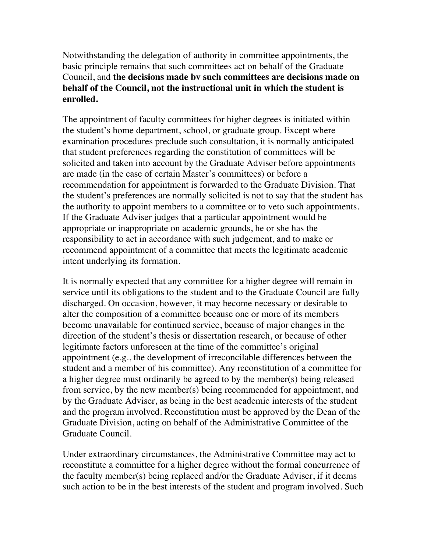Notwithstanding the delegation of authority in committee appointments, the basic principle remains that such committees act on behalf of the Graduate Council, and **the decisions made bv such committees are decisions made on behalf of the Council, not the instructional unit in which the student is enrolled.**

The appointment of faculty committees for higher degrees is initiated within the student's home department, school, or graduate group. Except where examination procedures preclude such consultation, it is normally anticipated that student preferences regarding the constitution of committees will be solicited and taken into account by the Graduate Adviser before appointments are made (in the case of certain Master's committees) or before a recommendation for appointment is forwarded to the Graduate Division. That the student's preferences are normally solicited is not to say that the student has the authority to appoint members to a committee or to veto such appointments. If the Graduate Adviser judges that a particular appointment would be appropriate or inappropriate on academic grounds, he or she has the responsibility to act in accordance with such judgement, and to make or recommend appointment of a committee that meets the legitimate academic intent underlying its formation.

It is normally expected that any committee for a higher degree will remain in service until its obligations to the student and to the Graduate Council are fully discharged. On occasion, however, it may become necessary or desirable to alter the composition of a committee because one or more of its members become unavailable for continued service, because of major changes in the direction of the student's thesis or dissertation research, or because of other legitimate factors unforeseen at the time of the committee's original appointment (e.g., the development of irreconcilable differences between the student and a member of his committee). Any reconstitution of a committee for a higher degree must ordinarily be agreed to by the member(s) being released from service, by the new member(s) being recommended for appointment, and by the Graduate Adviser, as being in the best academic interests of the student and the program involved. Reconstitution must be approved by the Dean of the Graduate Division, acting on behalf of the Administrative Committee of the Graduate Council.

Under extraordinary circumstances, the Administrative Committee may act to reconstitute a committee for a higher degree without the formal concurrence of the faculty member(s) being replaced and/or the Graduate Adviser, if it deems such action to be in the best interests of the student and program involved. Such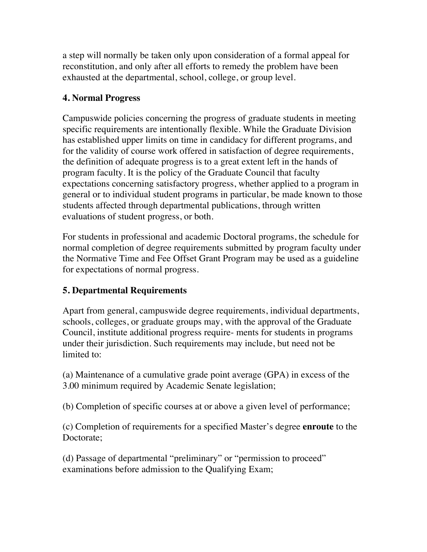a step will normally be taken only upon consideration of a formal appeal for reconstitution, and only after all efforts to remedy the problem have been exhausted at the departmental, school, college, or group level.

## **4. Normal Progress**

Campuswide policies concerning the progress of graduate students in meeting specific requirements are intentionally flexible. While the Graduate Division has established upper limits on time in candidacy for different programs, and for the validity of course work offered in satisfaction of degree requirements, the definition of adequate progress is to a great extent left in the hands of program faculty. It is the policy of the Graduate Council that faculty expectations concerning satisfactory progress, whether applied to a program in general or to individual student programs in particular, be made known to those students affected through departmental publications, through written evaluations of student progress, or both.

For students in professional and academic Doctoral programs, the schedule for normal completion of degree requirements submitted by program faculty under the Normative Time and Fee Offset Grant Program may be used as a guideline for expectations of normal progress.

# **5. Departmental Requirements**

Apart from general, campuswide degree requirements, individual departments, schools, colleges, or graduate groups may, with the approval of the Graduate Council, institute additional progress require- ments for students in programs under their jurisdiction. Such requirements may include, but need not be limited to:

(a) Maintenance of a cumulative grade point average (GPA) in excess of the 3.00 minimum required by Academic Senate legislation;

(b) Completion of specific courses at or above a given level of performance;

(c) Completion of requirements for a specified Master's degree **enroute** to the Doctorate;

(d) Passage of departmental "preliminary" or "permission to proceed" examinations before admission to the Qualifying Exam;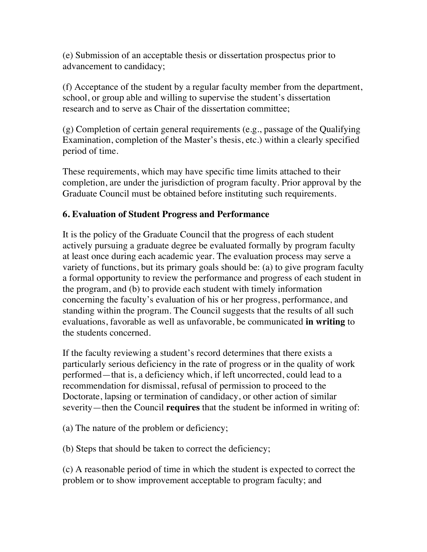(e) Submission of an acceptable thesis or dissertation prospectus prior to advancement to candidacy;

(f) Acceptance of the student by a regular faculty member from the department, school, or group able and willing to supervise the student's dissertation research and to serve as Chair of the dissertation committee;

(g) Completion of certain general requirements (e.g., passage of the Qualifying Examination, completion of the Master's thesis, etc.) within a clearly specified period of time.

These requirements, which may have specific time limits attached to their completion, are under the jurisdiction of program faculty. Prior approval by the Graduate Council must be obtained before instituting such requirements.

## **6. Evaluation of Student Progress and Performance**

It is the policy of the Graduate Council that the progress of each student actively pursuing a graduate degree be evaluated formally by program faculty at least once during each academic year. The evaluation process may serve a variety of functions, but its primary goals should be: (a) to give program faculty a formal opportunity to review the performance and progress of each student in the program, and (b) to provide each student with timely information concerning the faculty's evaluation of his or her progress, performance, and standing within the program. The Council suggests that the results of all such evaluations, favorable as well as unfavorable, be communicated **in writing** to the students concerned.

If the faculty reviewing a student's record determines that there exists a particularly serious deficiency in the rate of progress or in the quality of work performed—that is, a deficiency which, if left uncorrected, could lead to a recommendation for dismissal, refusal of permission to proceed to the Doctorate, lapsing or termination of candidacy, or other action of similar severity—then the Council **requires** that the student be informed in writing of:

(a) The nature of the problem or deficiency;

(b) Steps that should be taken to correct the deficiency;

(c) A reasonable period of time in which the student is expected to correct the problem or to show improvement acceptable to program faculty; and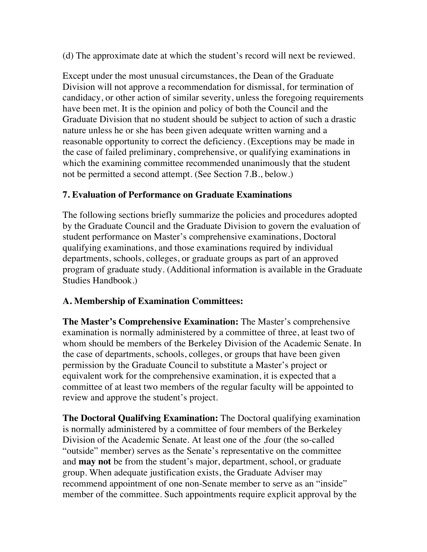(d) The approximate date at which the student's record will next be reviewed.

Except under the most unusual circumstances, the Dean of the Graduate Division will not approve a recommendation for dismissal, for termination of candidacy, or other action of similar severity, unless the foregoing requirements have been met. It is the opinion and policy of both the Council and the Graduate Division that no student should be subject to action of such a drastic nature unless he or she has been given adequate written warning and a reasonable opportunity to correct the deficiency. (Exceptions may be made in the case of failed preliminary, comprehensive, or qualifying examinations in which the examining committee recommended unanimously that the student not be permitted a second attempt. (See Section 7.B., below.)

# **7. Evaluation of Performance on Graduate Examinations**

The following sections briefly summarize the policies and procedures adopted by the Graduate Council and the Graduate Division to govern the evaluation of student performance on Master's comprehensive examinations, Doctoral qualifying examinations, and those examinations required by individual departments, schools, colleges, or graduate groups as part of an approved program of graduate study. (Additional information is available in the Graduate Studies Handbook.)

# **A. Membership of Examination Committees:**

**The Master's Comprehensive Examination:** The Master's comprehensive examination is normally administered by a committee of three, at least two of whom should be members of the Berkeley Division of the Academic Senate. In the case of departments, schools, colleges, or groups that have been given permission by the Graduate Council to substitute a Master's project or equivalent work for the comprehensive examination, it is expected that a committee of at least two members of the regular faculty will be appointed to review and approve the student's project.

**The Doctoral Qualifving Examination:** The Doctoral qualifying examination is normally administered by a committee of four members of the Berkeley Division of the Academic Senate. At least one of the ,four (the so-called "outside" member) serves as the Senate's representative on the committee and **may not** be from the student's major, department, school, or graduate group. When adequate justification exists, the Graduate Adviser may recommend appointment of one non-Senate member to serve as an "inside" member of the committee. Such appointments require explicit approval by the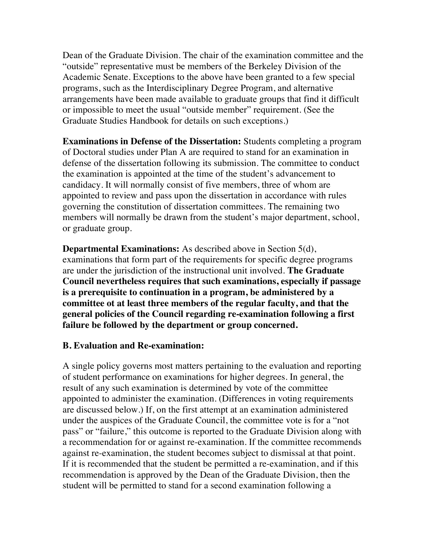Dean of the Graduate Division. The chair of the examination committee and the "outside" representative must be members of the Berkeley Division of the Academic Senate. Exceptions to the above have been granted to a few special programs, such as the Interdisciplinary Degree Program, and alternative arrangements have been made available to graduate groups that find it difficult or impossible to meet the usual "outside member" requirement. (See the Graduate Studies Handbook for details on such exceptions.)

**Examinations in Defense of the Dissertation:** Students completing a program of Doctoral studies under Plan A are required to stand for an examination in defense of the dissertation following its submission. The committee to conduct the examination is appointed at the time of the student's advancement to candidacy. It will normally consist of five members, three of whom are appointed to review and pass upon the dissertation in accordance with rules governing the constitution of dissertation committees. The remaining two members will normally be drawn from the student's major department, school, or graduate group.

**Departmental Examinations:** As described above in Section 5(d), examinations that form part of the requirements for specific degree programs are under the jurisdiction of the instructional unit involved. **The Graduate Council nevertheless requires that such examinations, especially if passage is a prerequisite to continuation in a program, be administered by a committee ot at least three members of the regular faculty, and that the general policies of the Council regarding re-examination following a first failure be followed by the department or group concerned.**

#### **B. Evaluation and Re-examination:**

A single policy governs most matters pertaining to the evaluation and reporting of student performance on examinations for higher degrees. In general, the result of any such examination is determined by vote of the committee appointed to administer the examination. (Differences in voting requirements are discussed below.) If, on the first attempt at an examination administered under the auspices of the Graduate Council, the committee vote is for a "not pass" or "failure," this outcome is reported to the Graduate Division along with a recommendation for or against re-examination. If the committee recommends against re-examination, the student becomes subject to dismissal at that point. If it is recommended that the student be permitted a re-examination, and if this recommendation is approved by the Dean of the Graduate Division, then the student will be permitted to stand for a second examination following a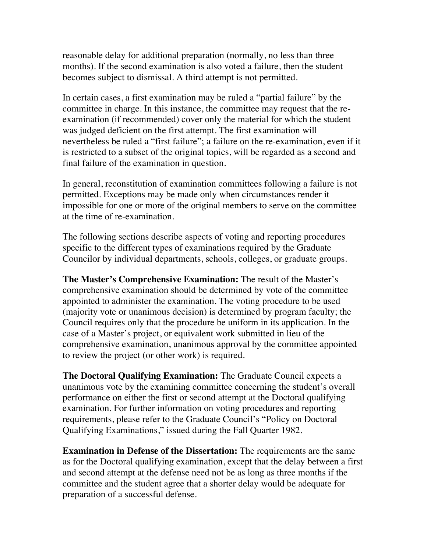reasonable delay for additional preparation (normally, no less than three months). If the second examination is also voted a failure, then the student becomes subject to dismissal. A third attempt is not permitted.

In certain cases, a first examination may be ruled a "partial failure" by the committee in charge. In this instance, the committee may request that the reexamination (if recommended) cover only the material for which the student was judged deficient on the first attempt. The first examination will nevertheless be ruled a "first failure"; a failure on the re-examination, even if it is restricted to a subset of the original topics, will be regarded as a second and final failure of the examination in question.

In general, reconstitution of examination committees following a failure is not permitted. Exceptions may be made only when circumstances render it impossible for one or more of the original members to serve on the committee at the time of re-examination.

The following sections describe aspects of voting and reporting procedures specific to the different types of examinations required by the Graduate Councilor by individual departments, schools, colleges, or graduate groups.

**The Master's Comprehensive Examination:** The result of the Master's comprehensive examination should be determined by vote of the committee appointed to administer the examination. The voting procedure to be used (majority vote or unanimous decision) is determined by program faculty; the Council requires only that the procedure be uniform in its application. In the case of a Master's project, or equivalent work submitted in lieu of the comprehensive examination, unanimous approval by the committee appointed to review the project (or other work) is required.

**The Doctoral Qualifying Examination:** The Graduate Council expects a unanimous vote by the examining committee concerning the student's overall performance on either the first or second attempt at the Doctoral qualifying examination. For further information on voting procedures and reporting requirements, please refer to the Graduate Council's "Policy on Doctoral Qualifying Examinations," issued during the Fall Quarter 1982.

**Examination in Defense of the Dissertation:** The requirements are the same as for the Doctoral qualifying examination, except that the delay between a first and second attempt at the defense need not be as long as three months if the committee and the student agree that a shorter delay would be adequate for preparation of a successful defense.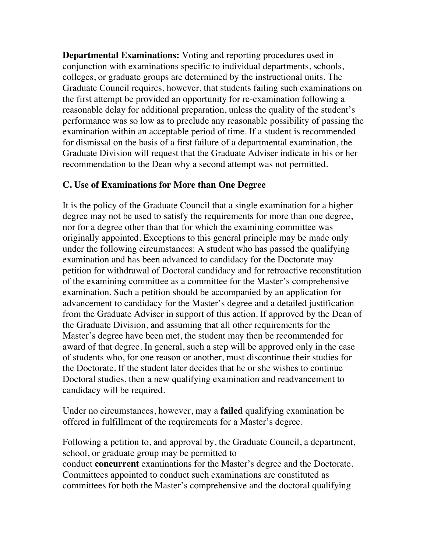**Departmental Examinations:** Voting and reporting procedures used in conjunction with examinations specific to individual departments, schools, colleges, or graduate groups are determined by the instructional units. The Graduate Council requires, however, that students failing such examinations on the first attempt be provided an opportunity for re-examination following a reasonable delay for additional preparation, unless the quality of the student's performance was so low as to preclude any reasonable possibility of passing the examination within an acceptable period of time. If a student is recommended for dismissal on the basis of a first failure of a departmental examination, the Graduate Division will request that the Graduate Adviser indicate in his or her recommendation to the Dean why a second attempt was not permitted.

#### **C. Use of Examinations for More than One Degree**

It is the policy of the Graduate Council that a single examination for a higher degree may not be used to satisfy the requirements for more than one degree, nor for a degree other than that for which the examining committee was originally appointed. Exceptions to this general principle may be made only under the following circumstances: A student who has passed the qualifying examination and has been advanced to candidacy for the Doctorate may petition for withdrawal of Doctoral candidacy and for retroactive reconstitution of the examining committee as a committee for the Master's comprehensive examination. Such a petition should be accompanied by an application for advancement to candidacy for the Master's degree and a detailed justification from the Graduate Adviser in support of this action. If approved by the Dean of the Graduate Division, and assuming that all other requirements for the Master's degree have been met, the student may then be recommended for award of that degree. In general, such a step will be approved only in the case of students who, for one reason or another, must discontinue their studies for the Doctorate. If the student later decides that he or she wishes to continue Doctoral studies, then a new qualifying examination and readvancement to candidacy will be required.

Under no circumstances, however, may a **failed** qualifying examination be offered in fulfillment of the requirements for a Master's degree.

Following a petition to, and approval by, the Graduate Council, a department, school, or graduate group may be permitted to conduct **concurrent** examinations for the Master's degree and the Doctorate. Committees appointed to conduct such examinations are constituted as committees for both the Master's comprehensive and the doctoral qualifying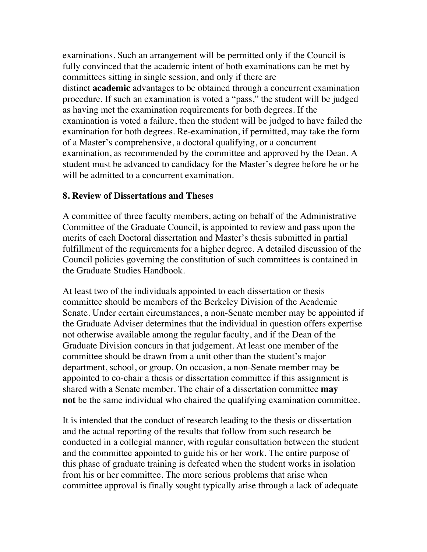examinations. Such an arrangement will be permitted only if the Council is fully convinced that the academic intent of both examinations can be met by committees sitting in single session, and only if there are distinct **academic** advantages to be obtained through a concurrent examination procedure. If such an examination is voted a "pass," the student will be judged as having met the examination requirements for both degrees. If the examination is voted a failure, then the student will be judged to have failed the examination for both degrees. Re-examination, if permitted, may take the form of a Master's comprehensive, a doctoral qualifying, or a concurrent examination, as recommended by the committee and approved by the Dean. A student must be advanced to candidacy for the Master's degree before he or he will be admitted to a concurrent examination.

#### **8. Review of Dissertations and Theses**

A committee of three faculty members, acting on behalf of the Administrative Committee of the Graduate Council, is appointed to review and pass upon the merits of each Doctoral dissertation and Master's thesis submitted in partial fulfillment of the requirements for a higher degree. A detailed discussion of the Council policies governing the constitution of such committees is contained in the Graduate Studies Handbook.

At least two of the individuals appointed to each dissertation or thesis committee should be members of the Berkeley Division of the Academic Senate. Under certain circumstances, a non-Senate member may be appointed if the Graduate Adviser determines that the individual in question offers expertise not otherwise available among the regular faculty, and if the Dean of the Graduate Division concurs in that judgement. At least one member of the committee should be drawn from a unit other than the student's major department, school, or group. On occasion, a non-Senate member may be appointed to co-chair a thesis or dissertation committee if this assignment is shared with a Senate member. The chair of a dissertation committee **may not** be the same individual who chaired the qualifying examination committee.

It is intended that the conduct of research leading to the thesis or dissertation and the actual reporting of the results that follow from such research be conducted in a collegial manner, with regular consultation between the student and the committee appointed to guide his or her work. The entire purpose of this phase of graduate training is defeated when the student works in isolation from his or her committee. The more serious problems that arise when committee approval is finally sought typically arise through a lack of adequate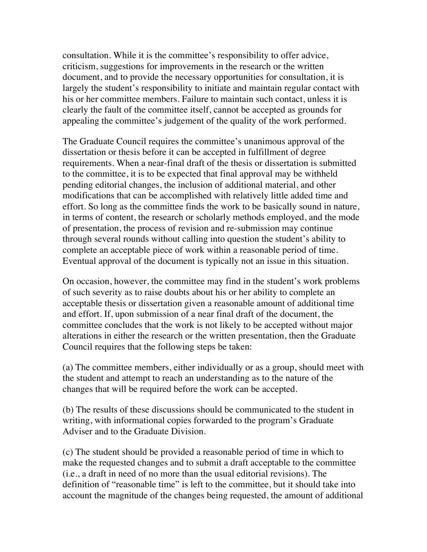consultation. While it is the committee's responsibility to offer advice, criticism, suggestions for improvements in the research or the written document, and to provide the necessary opportunities for consultation, it is largely the student's responsibility to initiate and maintain regular contact with his or her committee members. Failure to maintain such contact, unless it is clearly the fault of the committee itself, cannot be accepted as grounds for appealing the committee's judgement of the quality of the work performed.

The Graduate Council requires the committee's unanimous approval of the dissertation or thesis before it can be accepted in fulfillment of degree requirements. When a near-final draft of the thesis or dissertation is submitted to the committee, it is to be expected that final approval may be withheld pending editorial changes, the inclusion of additional material, and other modifications that can be accomplished with relatively little added time and effort. So long as the committee finds the work to be basically sound in nature, in terms of content, the research or scholarly methods employed, and the mode of presentation, the process of revision and re-submission may continue through several rounds without calling into question the student's ability to complete an acceptable piece of work within a reasonable period of time. Eventual approval of the document is typically not an issue in this situation.

On occasion, however, the committee may find in the student's work problems of such severity as to raise doubts about his or her ability to complete an acceptable thesis or dissertation given a reasonable amount of additional time and effort. If, upon submission of a near final draft of the document, the committee concludes that the work is not likely to be accepted without major alterations in either the research or the written presentation, then the Graduate Council requires that the following steps be taken:

(a) The committee members, either individually or as a group, should meet with the student and attempt to reach an understanding as to the nature of the changes that will be required before the work can be accepted.

(b) The results of these discussions should be communicated to the student in writing, with informational copies forwarded to the program's Graduate Adviser and to the Graduate Division.

(c) The student should be provided a reasonable period of time in which to make the requested changes and to submit a draft acceptable to the committee (i.e., a draft in need of no more than the usual editorial revisions). The definition of "reasonable time" is left to the committee, but it should take into account the magnitude of the changes being requested, the amount of additional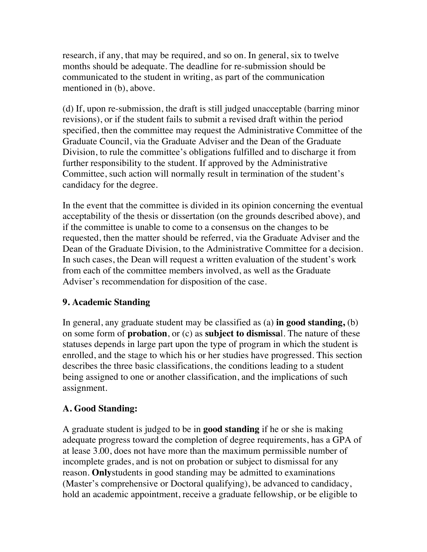research, if any, that may be required, and so on. In general, six to twelve months should be adequate. The deadline for re-submission should be communicated to the student in writing, as part of the communication mentioned in (b), above.

(d) If, upon re-submission, the draft is still judged unacceptable (barring minor revisions), or if the student fails to submit a revised draft within the period specified, then the committee may request the Administrative Committee of the Graduate Council, via the Graduate Adviser and the Dean of the Graduate Division, to rule the committee's obligations fulfilled and to discharge it from further responsibility to the student. If approved by the Administrative Committee, such action will normally result in termination of the student's candidacy for the degree.

In the event that the committee is divided in its opinion concerning the eventual acceptability of the thesis or dissertation (on the grounds described above), and if the committee is unable to come to a consensus on the changes to be requested, then the matter should be referred, via the Graduate Adviser and the Dean of the Graduate Division, to the Administrative Committee for a decision. In such cases, the Dean will request a written evaluation of the student's work from each of the committee members involved, as well as the Graduate Adviser's recommendation for disposition of the case.

### **9. Academic Standing**

In general, any graduate student may be classified as (a) **in good standing,** (b) on some form of **probation**, or (c) as **subject to dismissa**l. The nature of these statuses depends in large part upon the type of program in which the student is enrolled, and the stage to which his or her studies have progressed. This section describes the three basic classifications, the conditions leading to a student being assigned to one or another classification, and the implications of such assignment.

### **A. Good Standing:**

A graduate student is judged to be in **good standing** if he or she is making adequate progress toward the completion of degree requirements, has a GPA of at lease 3.00, does not have more than the maximum permissible number of incomplete grades, and is not on probation or subject to dismissal for any reason. **Only**students in good standing may be admitted to examinations (Master's comprehensive or Doctoral qualifying), be advanced to candidacy, hold an academic appointment, receive a graduate fellowship, or be eligible to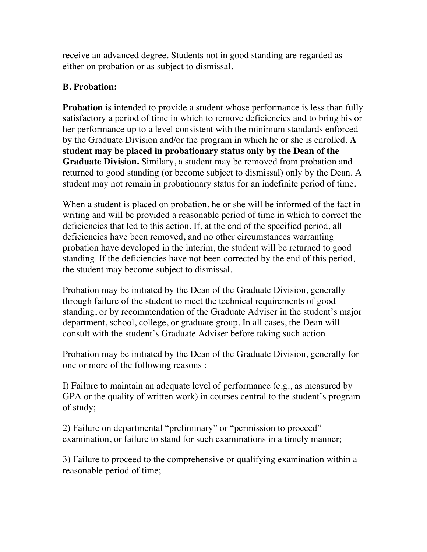receive an advanced degree. Students not in good standing are regarded as either on probation or as subject to dismissal.

## **B. Probation:**

**Probation** is intended to provide a student whose performance is less than fully satisfactory a period of time in which to remove deficiencies and to bring his or her performance up to a level consistent with the minimum standards enforced by the Graduate Division and/or the program in which he or she is enrolled. **A student may be placed in probationary status only by the Dean of the Graduate Division.** Similary, a student may be removed from probation and returned to good standing (or become subject to dismissal) only by the Dean. A student may not remain in probationary status for an indefinite period of time.

When a student is placed on probation, he or she will be informed of the fact in writing and will be provided a reasonable period of time in which to correct the deficiencies that led to this action. If, at the end of the specified period, all deficiencies have been removed, and no other circumstances warranting probation have developed in the interim, the student will be returned to good standing. If the deficiencies have not been corrected by the end of this period, the student may become subject to dismissal.

Probation may be initiated by the Dean of the Graduate Division, generally through failure of the student to meet the technical requirements of good standing, or by recommendation of the Graduate Adviser in the student's major department, school, college, or graduate group. In all cases, the Dean will consult with the student's Graduate Adviser before taking such action.

Probation may be initiated by the Dean of the Graduate Division, generally for one or more of the following reasons :

I) Failure to maintain an adequate level of performance (e.g., as measured by GPA or the quality of written work) in courses central to the student's program of study;

2) Failure on departmental "preliminary" or "permission to proceed" examination, or failure to stand for such examinations in a timely manner;

3) Failure to proceed to the comprehensive or qualifying examination within a reasonable period of time;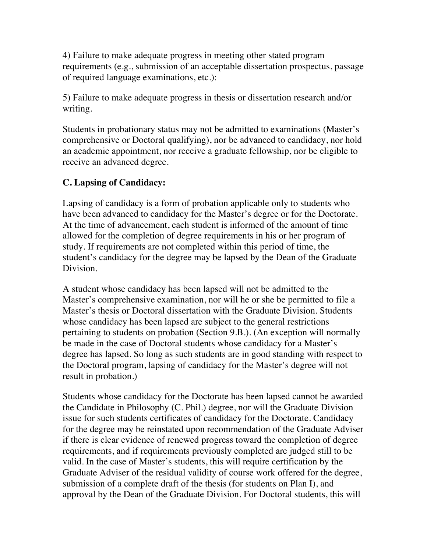4) Failure to make adequate progress in meeting other stated program requirements (e.g., submission of an acceptable dissertation prospectus, passage of required language examinations, etc.):

5) Failure to make adequate progress in thesis or dissertation research and/or writing.

Students in probationary status may not be admitted to examinations (Master's comprehensive or Doctoral qualifying), nor be advanced to candidacy, nor hold an academic appointment, nor receive a graduate fellowship, nor be eligible to receive an advanced degree.

# **C. Lapsing of Candidacy:**

Lapsing of candidacy is a form of probation applicable only to students who have been advanced to candidacy for the Master's degree or for the Doctorate. At the time of advancement, each student is informed of the amount of time allowed for the completion of degree requirements in his or her program of study. If requirements are not completed within this period of time, the student's candidacy for the degree may be lapsed by the Dean of the Graduate Division.

A student whose candidacy has been lapsed will not be admitted to the Master's comprehensive examination, nor will he or she be permitted to file a Master's thesis or Doctoral dissertation with the Graduate Division. Students whose candidacy has been lapsed are subject to the general restrictions pertaining to students on probation (Section 9.B.). (An exception will normally be made in the case of Doctoral students whose candidacy for a Master's degree has lapsed. So long as such students are in good standing with respect to the Doctoral program, lapsing of candidacy for the Master's degree will not result in probation.)

Students whose candidacy for the Doctorate has been lapsed cannot be awarded the Candidate in Philosophy (C. Phil.) degree, nor will the Graduate Division issue for such students certificates of candidacy for the Doctorate. Candidacy for the degree may be reinstated upon recommendation of the Graduate Adviser if there is clear evidence of renewed progress toward the completion of degree requirements, and if requirements previously completed are judged still to be valid. In the case of Master's students, this will require certification by the Graduate Adviser of the residual validity of course work offered for the degree, submission of a complete draft of the thesis (for students on Plan I), and approval by the Dean of the Graduate Division. For Doctoral students, this will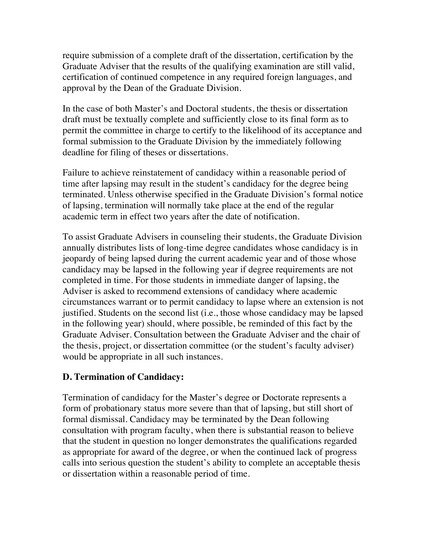require submission of a complete draft of the dissertation, certification by the Graduate Adviser that the results of the qualifying examination are still valid, certification of continued competence in any required foreign languages, and approval by the Dean of the Graduate Division.

In the case of both Master's and Doctoral students, the thesis or dissertation draft must be textually complete and sufficiently close to its final form as to permit the committee in charge to certify to the likelihood of its acceptance and formal submission to the Graduate Division by the immediately following deadline for filing of theses or dissertations.

Failure to achieve reinstatement of candidacy within a reasonable period of time after lapsing may result in the student's candidacy for the degree being terminated. Unless otherwise specified in the Graduate Division's formal notice of lapsing, termination will normally take place at the end of the regular academic term in effect two years after the date of notification.

To assist Graduate Advisers in counseling their students, the Graduate Division annually distributes lists of long-time degree candidates whose candidacy is in jeopardy of being lapsed during the current academic year and of those whose candidacy may be lapsed in the following year if degree requirements are not completed in time. For those students in immediate danger of lapsing, the Adviser is asked to recommend extensions of candidacy where academic circumstances warrant or to permit candidacy to lapse where an extension is not justified. Students on the second list (i.e., those whose candidacy may be lapsed in the following year) should, where possible, be reminded of this fact by the Graduate Adviser. Consultation between the Graduate Adviser and the chair of the thesis, project, or dissertation committee (or the student's faculty adviser) would be appropriate in all such instances.

### **D. Termination of Candidacy:**

Termination of candidacy for the Master's degree or Doctorate represents a form of probationary status more severe than that of lapsing, but still short of formal dismissal. Candidacy may be terminated by the Dean following consultation with program faculty, when there is substantial reason to believe that the student in question no longer demonstrates the qualifications regarded as appropriate for award of the degree, or when the continued lack of progress calls into serious question the student's ability to complete an acceptable thesis or dissertation within a reasonable period of time.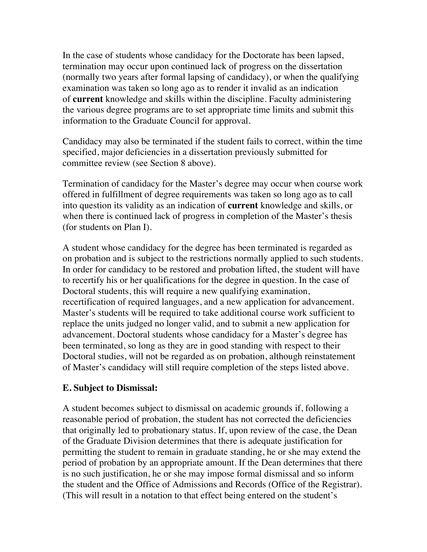In the case of students whose candidacy for the Doctorate has been lapsed, termination may occur upon continued lack of progress on the dissertation (normally two years after formal lapsing of candidacy), or when the qualifying examination was taken so long ago as to render it invalid as an indication of **current** knowledge and skills within the discipline. Faculty administering the various degree programs are to set appropriate time limits and submit this information to the Graduate Council for approval.

Candidacy may also be terminated if the student fails to correct, within the time specified, major deficiencies in a dissertation previously submitted for committee review (see Section 8 above).

Termination of candidacy for the Master's degree may occur when course work offered in fulfillment of degree requirements was taken so long ago as to call into question its validity as an indication of **current** knowledge and skills, or when there is continued lack of progress in completion of the Master's thesis (for students on Plan I).

A student whose candidacy for the degree has been terminated is regarded as on probation and is subject to the restrictions normally applied to such students. In order for candidacy to be restored and probation lifted, the student will have to recertify his or her qualifications for the degree in question. In the case of Doctoral students, this will require a new qualifying examination, recertification of required languages, and a new application for advancement. Master's students will be required to take additional course work sufficient to replace the units judged no longer valid, and to submit a new application for advancement. Doctoral students whose candidacy for a Master's degree has been terminated, so long as they are in good standing with respect to their Doctoral studies, will not be regarded as on probation, although reinstatement of Master's candidacy will still require completion of the steps listed above.

#### **E. Subject to Dismissal:**

A student becomes subject to dismissal on academic grounds if, following a reasonable period of probation, the student has not corrected the deficiencies that originally led to probationary status. If, upon review of the case, the Dean of the Graduate Division determines that there is adequate justification for permitting the student to remain in graduate standing, he or she may extend the period of probation by an appropriate amount. If the Dean determines that there is no such justification, he or she may impose formal dismissal and so inform the student and the Office of Admissions and Records (Office of the Registrar). (This will result in a notation to that effect being entered on the student's